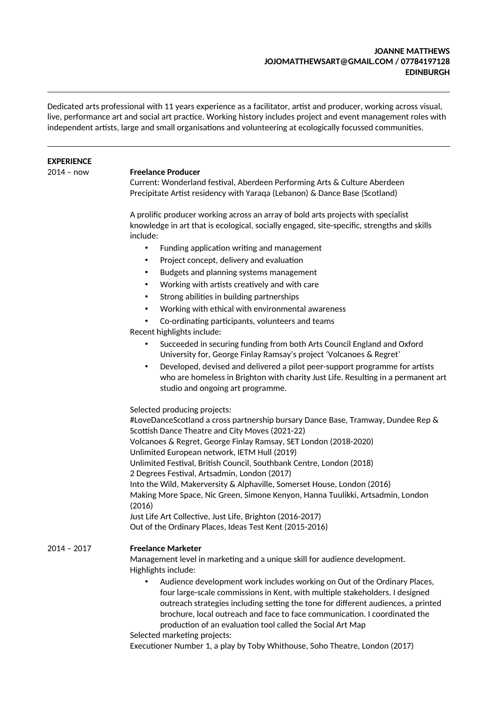### **JOANNE MATTHEWS JOJOMATTHEWSART@GMAIL.COM / 07784197128 EDINBURGH**

Dedicated arts professional with 11 years experience as a facilitator, artist and producer, working across visual, live, performance art and social art practice. Working history includes project and event management roles with independent artsts, large and small organisatons and volunteering at ecologically focussed communites.

## **EXPERIENCE**

#### 2014 – now **Freelance Producer**

Current: Wonderland festval, Aberdeen Performing Arts & Culture Aberdeen Precipitate Artist residency with Yaraqa (Lebanon) & Dance Base (Scotland)

A prolifc producer working across an array of bold arts projects with specialist knowledge in art that is ecological, socially engaged, site-specifc, strengths and skills include:

- Funding application writing and management
- Project concept, delivery and evaluation
- Budgets and planning systems management
- Working with artists creatively and with care
- Strong abilites in building partnerships
- Working with ethical with environmental awareness
- Co-ordinating participants, volunteers and teams

Recent highlights include:

- Succeeded in securing funding from both Arts Council England and Oxford University for, George Finlay Ramsay's project 'Volcanoes & Regret'
- Developed, devised and delivered a pilot peer-support programme for artsts who are homeless in Brighton with charity Just Life. Resulting in a permanent art studio and ongoing art programme.

Selected producing projects:

#LoveDanceScotland a cross partnership bursary Dance Base, Tramway, Dundee Rep & Scottish Dance Theatre and City Moves (2021-22) Volcanoes & Regret, George Finlay Ramsay, SET London (2018-2020) Unlimited European network, IETM Hull (2019) Unlimited Festval, Britsh Council, Southbank Centre, London (2018) 2 Degrees Festval, Artsadmin, London (2017) Into the Wild, Makerversity & Alphaville, Somerset House, London (2016) Making More Space, Nic Green, Simone Kenyon, Hanna Tuulikki, Artsadmin, London (2016) Just Life Art Collective, Just Life, Brighton (2016-2017) Out of the Ordinary Places, Ideas Test Kent (2015-2016)

## 2014 – 2017 **Freelance Marketer**

Management level in marketing and a unique skill for audience development. Highlights include:

• Audience development work includes working on Out of the Ordinary Places, four large-scale commissions in Kent, with multiple stakeholders. I designed outreach strategies including setting the tone for different audiences, a printed brochure, local outreach and face to face communication. I coordinated the production of an evaluation tool called the Social Art Map

Selected marketing projects:

Executoner Number 1, a play by Toby Whithouse, Soho Theatre, London (2017)